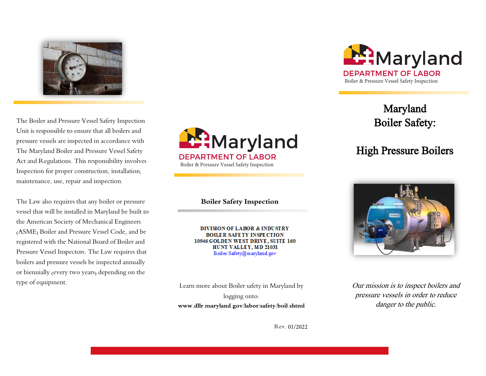

The Boiler and Pressure Vessel Safety Inspection Unit is responsible to ensure that all boilers and pressure vessels are inspected in accordance with The Maryland Boiler and Pressure Vessel Safety Act and Regulations. This responsibility involves Inspection for proper construction, installation, maintenance, use, repair and inspection.

The Law also requires that any boiler or pressure vessel that will be installed in Maryland be built to the American Society of Mechanical Engineers (ASME) Boiler and Pressure Vessel Code, and be registered with the National Board of Boiler and Pressure Vessel Inspectors. The Law requires that boilers and pressure vessels be inspected annually or biennially (every two years) depending on the type of equipment.



**Boiler Safety Inspection** 

**DIVISION OF LABOR & INDUSTRY BOILER SAFETY INSPECTION** 10946 GOLDEN WEST DRIVE, SUITE 160 HUNT VALLEY, MD 21031 Boiler.Safety@maryland.gov

Learn more about Boiler safety in Maryland by logging onto: **www.dllr.maryland.gov/labor/safety/boil.shtml** 



Maryland Boiler Safety:

## High Pressure Boilers



Our mission is to inspect boilers and pressure vessels in order to reduce danger to the public.

Rev. 01/2022